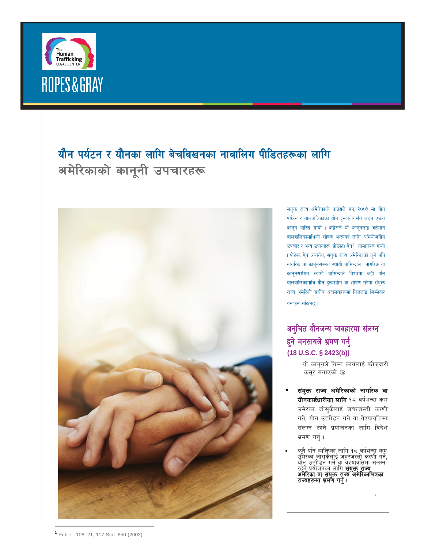

# यौन पर्यटन र यौनका लागि बेचबिखनका नाबालिग पीडितहरूका लागि अमेरिकाको कानूनी उपचारहरू



संयुक्त राज्य अमेरिकाको कंग्रेसले सन् २००३ मा यौन पर्यटन र बालबालिकाको यौन दरूपयोगसँग लड्न एउटा कानून पारित गऱ्यो । कंग्रेसले यो कानूनलाई वर्तमान बालबालिकामाथिको शोषण अन्त्यका लागि अभियोजनीय उपचार र अन्य उपायहरू (प्रोटेक्ट) ऐन<sup>ज्ञ</sup>ामाकरण गऱ्यो । प्रोटेक्ट ऐन अन्तर्गत, संयुक्त राज्य अमेरिकाको कुनै पनि नागरिक वा कानूनसम्मत स्थायी बासिन्दाले नागरिक वा कानूनसमीमत स्थायी बासिन्दाले विश्वमा कही पनि बालबालिकामाथि यौन दरूपयोग वा शोषण गरेमा संयुक्त राज्य अमेरिकी संघीय अदालतहरूमा निजलाई जिम्मेवार बनाउन सकिनेछ ।

## अनुचित यौनजन्य व्यवहारमा संलग्न हुने मनसायले भ्रमण गर्नु  $(18 U.S.C. § 2423(b))$

यो कानूनले निम्न कार्यलाई फौजदारी कसूर बनाएको छ:

- संयुक्त राज्य अमेरिकाको नागरिक वा ग्रीनकार्डधारीका लागि १८ वर्षभन्दा कम उमेरका जोसुकैलाई जबरजस्ती करणी गर्ने, यौन उत्पीडन गर्ने वा वेश्यावृत्तिमा संलग्न रहने प्रयोजनका लागि विदेश भ्रमण गर्नु ।
- <span id="page-0-0"></span>कुनै पनि व्यक्तिका लागि १८ वर्षभन्दा कम<br>उुमेरका ज़ोसुकैलाुई जबुरजस्तीू करणी गर्ने, उमरला जासुकलाई जबरजस्ता करणा गन,<br>योन उत्पीडन गर्ने वा वेश्यावृत्तिमा संलग्न<br>रहने प्रयोजनका लागि **संयुक्त राज्य**<br>**अमेरिका वा संयुक्त राज्य अमेरिकाभित्रका**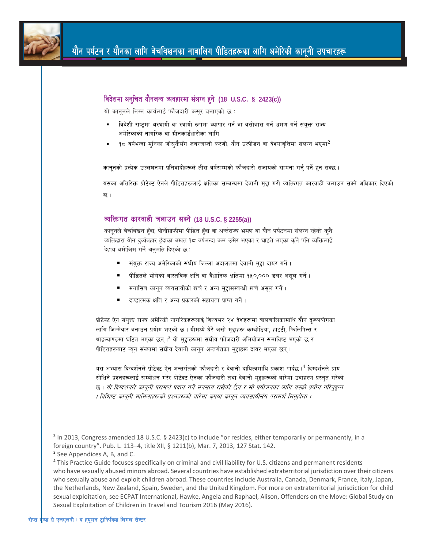

|    | यो कानूनले निम्न कार्यलाई फौजदारी कसूर बनाएको छ :                                                                                           |
|----|---------------------------------------------------------------------------------------------------------------------------------------------|
| ٠  | विदेशी राष्ट्रमा अस्थायी वा स्थायी रूपमा व्यापार गर्न वा बसोबास गर्न भ्रमण गर्ने संयुक्त राज्य<br>अमेरिकाको नागरिक वा ग्रीनकार्डधारीका लागि |
| ٠  | १८ वर्षभन्दा मुनिका जोसुकैसँग जबरजस्ती करणी, यौन उत्पीडन वा वेश्यावृत्तिमा संलग्न भएमा $^2$                                                 |
|    | कानूनको प्रत्येक उल्लंघनमा प्रतिवादीहरूले तीस वर्षसम्मको फौजदारी सजायको सामना गर्न् पर्ने हुन सक्छ।                                         |
|    | यसका अतिरिक्त प्रोटेक्ट ऐनले पीडितहरूलाई क्षतिका सम्बन्धमा देवानी मुद्दा गरी व्यक्तिगत कारवाही चलाउन सक्ने अधिकार दिएको                     |
| छ। |                                                                                                                                             |
|    |                                                                                                                                             |
|    |                                                                                                                                             |
|    | व्यक्तिगत कारवाही चलाउन सक्ने (18 U.S.C. § 2255(a))                                                                                         |
|    | कानूनले बेचबिखन हँदा, पोर्नोग्राफीमा पीडित हँदा वा अर्न्तराज्य भ्रमण वा यौन पर्यटनमा संलग्न रहेको कुनै                                      |
|    | व्यक्तिद्वारा यौन दुर्व्यवहार हँदाका बखत १८ वर्षभन्दा कम उमेर भएका र घाइते भएका कुनै पनि व्यक्तिलाई                                         |
|    | देहाय बमोजिम गर्ने अनुमति दिएको छ :                                                                                                         |
|    | संयुक्त राज्य अमेरिकाको संघीय जिल्ला अदालतमा देवानी मुद्दा दायर गर्ने।                                                                      |
|    | पीडितले भोगेको वास्तविक क्षति वा वैधानिक क्षतिमा १५०,००० डलर असूल गर्ने ।                                                                   |
|    | मनासिब कानून व्यवसायीको खर्च र अन्य मुद्दासम्बन्धी खर्च असूल गर्ने।                                                                         |

लागि जिम्मेवार बनाउन प्रयोग भएको छ । यीमध्ये धेरै जसो मुद्दाहरू कम्बोडिया, हाइटी, फिलिपिन्स र थाइल्याण्डमा घटित भएका छन ।<sup>3</sup> यी महाहरूमा संघीय फौजदारी अभियोजन समाविष्ट भएको छ र पीडितहरूबाट न्युन संख्यामा संघीय देवानी कानुन अन्तर्गतका मुद्दाहरू दायर भएका छन् ।

यस अभ्यास दिग्दर्शनले प्रोटेक्ट ऐन अन्तर्गतको फौजदारी र देवानी दायित्वमाथि प्रकाश पार्दछ ।<sup>4</sup> दिग्दर्शनले प्राय सोधिने प्रश्नहरूलाई सम्बोधन गरेर प्रोटेक्ट ऐनका फौजदारी तथा देवानी मद्दाहरूको बारेमा उदाहरण प्रस्तत गरेको छ । यो दिग्दर्शनले कानूनी परामर्श प्रदान गर्ने मनसाय राखेको छैन र सो प्रयोजनका लागि यस्को प्रयोग गरिन्हुन्न । विशिष्ट कानूनी मामिलाहरूको प्रश्नहरूको बारेमा कृपया कानून व्यवसायीसँग परामर्श लिन्होला ।

<span id="page-1-0"></span><sup>&</sup>lt;sup>2</sup> In 2013, Congress amended 18 U.S.C. § 2423(c) to include "or resides, either temporarily or permanently, in a foreign country". Pub. L. 113-4, title XII, § 1211(b), Mar. 7, 2013, 127 Stat. 142.

<sup>&</sup>lt;sup>3</sup> See Appendices A, B, and C.

<span id="page-1-2"></span><span id="page-1-1"></span><sup>&</sup>lt;sup>4</sup> This Practice Guide focuses specifically on criminal and civil liability for U.S. citizens and permanent residents who have sexually abused minors abroad. Several countries have established extraterritorial jurisdiction over their citizens who sexually abuse and exploit children abroad. These countries include Australia, Canada, Denmark, France, Italy, Japan, the Netherlands, New Zealand, Spain, Sweden, and the United Kingdom. For more on extraterritorial jurisdiction for child sexual exploitation, see ECPAT International, Hawke, Angela and Raphael, Alison, Offenders on the Move: Global Study on Sexual Exploitation of Children in Travel and Tourism 2016 (May 2016).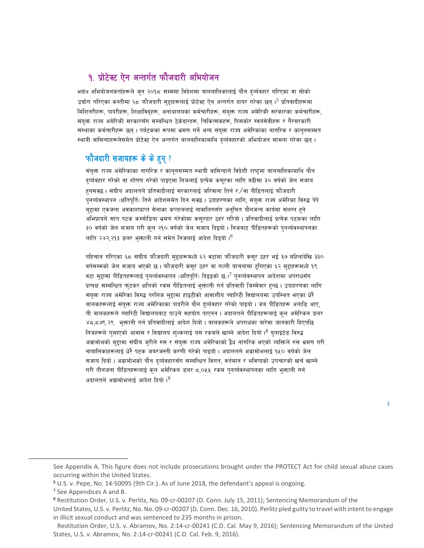### १. प्रोटेक्ट ऐन अन्तर्गत फौजदारी अभियोजन

संघीय अभियोजनकर्ताहरूले जुन २०१८ सम्ममा विदेशमा बालबालिकालाई यौन दर्व्यवहार गरिएका वा सोको उद्योग गरिएका कम्तीमा ६८ फौजदारी मुद्दाहरूलाई प्रोटेक्ट ऐन अन्तर्गत दायर गरेका छन्।<sup>5</sup> प्रतिवादीहरूमा मिशिनरीहरू, पादरीहरू, शिक्षाविदहरू, अनाथालयका कर्मचारीहरू, संयक्त राज्य अमेरिकी सरकारका कर्मचारीहरू, संयक्त राज्य अमेरिकी सरकारसँग सम्बन्धित ठेकेदारहरू. चिकित्सकहरू. पिसकोर स्वयंसेवीहरू र गैरसरकारी संस्थाका कर्मचारीहरू छन । पर्यटकका रूपमा भ्रमण गर्ने अन्य संयक्त राज्य अमेरिकाका नागरिक र काननसम्मत स्थायी वासिन्दाहरूलेसमेत प्रोटेक्ट ऐन अन्तर्गत बालबालिकामाथि दर्व्यवहारको अभियोजन सामना गरेका छन्।

#### फौजदारी सजायहरू के के हुन् ?

संयुक्त राज्य अमेरिकाका नागरिक र कानुनसम्मत स्थायी वासिन्दाले विदेशी राष्टमा बालबालिकामाथि यौन दुर्व्यवहार गरेको वा शोषण गरेको पाइएमा निजलाई प्रत्येक कसूरका लागि बढीमा ३० वर्षको जेल सजाय हनसक्छ । संघीय अदालतले प्रतिवादीलाई सरकारलाई जरिवाना तिर्न र ∕ वा पीडितलाई फौजदारी पुनर्व्यवस्थापन (क्षतिपूर्ति) तिर्न आदेशसमेत दिन सक्छ । उदाहरणका लागि, संयुक्त राज्य अमेरिका विरुद्ध पेपे मुद्दामा एकजना अवकाशप्राप्त सेनाका कप्तानलाई नावालिगसँग अनुचित यौनजन्य कार्यमा संलग्न हुने अभिप्रायले सात पटक कम्बोडिया भ्रमण गरेकोमा कसुरदार ठहर गरियो । प्रतिवादीलाई प्रत्येक पटकका लागि ३० वर्षको जेल सजाय गरी कुल २१० वर्षको जेल सजाय दिइयो। निजबाट पीडितहरूको पुनर्व्यवस्थापनका लागि २४२,२१३ डलर भक्तानी गर्न समेत निजलाई आदेश दिइयो।<sup>6</sup>

पहिचान गरिएका ६८ संघीय फौजदारी मुद्दाहरूमध्ये ६२ वटामा फौजदारी कसूर ठहर भई ३७ महिनादेखि ३३० वर्षसम्मको जेल सजाय भएको छ। फौजदारी कसुर ठहर वा गल्ती याचनामा टंगिएका ६२ मुद्दाहरूमध्ये १९ वटा मुद्दामा पीडितहरूलाई पुनर्व्यवस्थापन (क्षतिपूर्ति) दिइइको छ ।<sup>7</sup> पुनर्व्यवस्थापन आदेशमा अपराधसँग प्रत्यक्ष सम्बन्धित फुटकर क्षतिको रकम पीडितलाई भुक्तानी गर्न प्रतिवादी जिम्मेवार हुन्छ। उदाहरणका लागि संयुक्त राज्य अमेरिका विरुद्ध परलिज मुद्दामा हाइटीको आवाशीय च्यारिटी विद्यालयमा उपस्थित भएका धेरै बालकहरूलाई संयुक्त राज्य अमेरिकाका पादरीले यौन दर्व्यवहार गरेको पाइयो । जब पीडितहरू अगाडि आए, ती बालकहरूले च्यारिटी विद्यालयबाट पाउने सहयोग पाएनन । अदालतले पीडितहरूलाई कुल अमेरिकन डलर ४८,८७९.२९ भुक्तानी गर्न प्रतिवादीलाई आदेश दियो । बालकहरूले अपराधका बारेमा जानकारी दिएपछि निजहरूले गमाएको आवास र विद्यालय शल्कलाई यस रकमले खाम्ने आदेश दियो।<sup>8</sup> यनाइटेड विरुद्ध अब्रामोभको मुद्दामा संघीय जुरीले रुस र संयुक्त राज्य अमेरिकाको द्वैध नागरिक भएको व्यक्तिले रुस भ्रमण गरी नाबालिकाहरूलाई धेरै पटक जबरजस्ती करणी गरेको पाइयो । अदालतले अब्रामोभलाई १५० वर्षको जेल सजाय दियो । अब्रामोभको यौन दर्व्यवहारसँग सम्बन्धित विगत, वर्तमान र भविष्यको उपचारको खर्च खाम्ने गरी तीनजना पीडितहरूलाई कुल अमेरिकन डलर ८,०५५ रकम पुनर्व्यवस्थापनका लागि भुक्तानी गर्न अदालतले अब्रामोभलाई आदेश दियो ।<sup>9</sup>

 $\overline{3}$ 

<span id="page-2-0"></span>See Appendix A. This figure does not include prosecutions brought under the PROTECT Act for child sexual abuse cases occurring within the United States.

<span id="page-2-1"></span><sup>&</sup>lt;sup>6</sup> U.S. v. Pepe, No. 14-50095 (9th Cir.). As of June 2018, the defendant's appeal is ongoing.

<span id="page-2-2"></span><sup>&</sup>lt;sup>7</sup> See Appendices A and B.

<span id="page-2-3"></span><sup>&</sup>lt;sup>8</sup> Restitution Order, U.S. v. Perlitz, No. 09-cr-00207 (D. Conn. July 15, 2011); Sentencing Memorandum of the United States, U.S. v. Perlitz, No. No. 09-cr-00207 (D. Conn. Dec. 16, 2010). Perlitz pled guilty to travel with intent to engage in illicit sexual conduct and was sentenced to 235 months in prison.

<span id="page-2-4"></span>Restitution Order, U.S. v. Abramov, No. 2:14-cr-00241 (C.D. Cal. May 9, 2016); Sentencing Memorandum of the United States, U.S. v. Abramov, No. 2:14-cr-00241 (C.D. Cal. Feb. 9, 2016).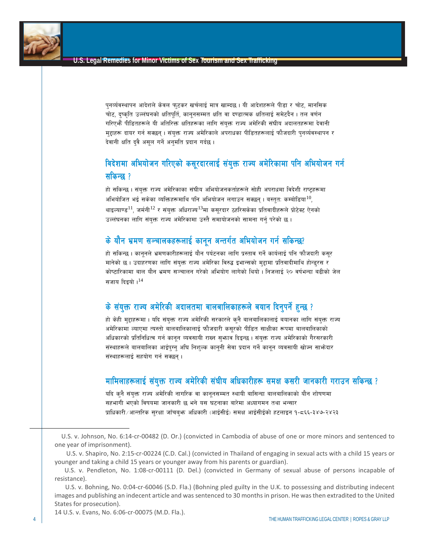पुनर्व्यवस्थापन आदेशले केवल फुटकर खर्चलाई मात्र खाम्दछ। यी आदेशहरूले पीडा र चोट, मानसिक चोट, दुष्कृति उल्लंघनको क्षतिपूर्ति, कानुनसम्मत क्षति वा दण्डात्मक क्षतिलाई समेटदैन । तल वर्णन गरिएभैं पीडितहरूले यी अतिरिक्त क्षतिहरूका लागि संयुक्त राज्य अमेरिकी संघीय अदालतहरूमा देवानी मुद्दाहरू दायर गर्न सक्छन् । संयुक्त राज्य अमेरिकाले अपराधका पीडितहरूलाई फौजदारी पुनर्व्यवस्थापन र देवानी क्षति दवै असुल गर्ने अनुमति प्रदान गर्दछ।

## विदेशमा अभियोजन गरिएको कसूरदारलाई संयुक्त राज्य अमेरिकामा पनि अभियोजन गर्न सकिन्छ $?$

हो सकिन्छ। संयुक्त राज्य अमेरिकाका संघीय अभियोजनकर्ताहरूले सोही अपराधमा विदेशी राष्ट्रहरूमा अभियोजित भई सकेका व्यक्तिहरूमाथि पनि अभियोजन लगाउन सक्छन् । बस्तुत: कम्बोडिया $^{10}$  $^{10}$  $^{10}$ , थाइल्याण्ड<sup>[11](#page-3-1)</sup>, जर्मनी<sup>[12](#page-3-2)</sup> र संयुक्त अधिराज्य<sup>[13](#page-3-3)</sup>मा कसूरदार ठहरिसकेका प्रतिवादीहरूले प्रोटेक्ट ऐनको उल्लंघनका लागि संयुक्त राज्य अमेरिकामा उस्तै समायोजनको सामना गर्नु परेको छ।

### के यौन भ्रमण सञ्चालकहरूलाई कानुन अन्तर्गत अभियोजन गर्न सकिन्छ?

हो सकिन्छ । कानुनले भ्रमणकारीहरूलाई यौन पर्यटनका लागि प्रस्ताव गर्ने कार्यलाई पनि फौजदारी कसुर मानेको छ। उदाहरणका लागि संयुक्त राज्य अमेरिका विरुद्ध इभान्सको मुद्दामा प्रतिवादीमाथि होन्डुरस र कोष्टारिकामा बाल यौन भ्रमण सञ्चालन गरेको अभियोग लागेको थियो । निजलाई २० वर्षभन्दा बढीको जेल सजाय दिइयो  $1^{14}$  $1^{14}$  $1^{14}$ 

### के संयुक्त राज्य अमेरिकी अदालतमा बालबालिकाहरूले बयान दिनुपर्ने हुन्छ ?

हो केही मुद्दाहरूमा । यदि संयुक्त राज्य अमेरिकी सरकारले कुनै बालबालिकालाई बयानका लागि संयुक्त राज्य अमेरिकामा ल्याएमा त्यस्तो बालबालिकालाई फौजदारी कसरको पीडित साक्षीका रूपमा बालबालिकाको अधिकारको प्रतिनिधित्व गर्न कानून व्यवसायी राख्न सुभ्राव दिइन्छ । संयुक्त राज्य अमेरिकाको गैरसरकारी संस्थाहरूले बालबालिका आईपग्न अघि निशल्क काननी सेवा प्रदान गर्ने कानन व्यवसायी खोज्न साफोदार संस्थाहरूलाई सहयोग गर्न सक्छन्।

## **मामिलाहरूलाई संयुक्त राज्य अमेरिकी संघीय अधिकारीहरू समक्ष कसरी जानकारी गराउन सकिन्छ**?

यदि कनै संयुक्त राज्य अमेरिकी नागरिक वा कानुनसम्मत स्थायी बासिन्दा बालबालिकाको यौन शोषणमा सहभागी भएको विषयमा जानकारी छ भने यस घटनाका बारेमा अध्यागमन तथा भन्सार प्राधिकारी ⁄आन्तरिक सुरक्षा जाँचबुभ अधिकारी (आईसीई) समक्ष आईसीईको हटलाइन १-८६६-३४७-२४२३

<span id="page-3-4"></span>14 U.S. v. Evans, No. 6:06-cr-00075 (M.D. Fla.).

<span id="page-3-2"></span><span id="page-3-1"></span><span id="page-3-0"></span> $\overline{\phantom{a}}$ 

U.S. v. Johnson, No. 6:14-cr-00482 (D. Or.) (convicted in Cambodia of abuse of one or more minors and sentenced to one year of imprisonment).

U.S. v. Shapiro, No. 2:15-cr-00224 (C.D. Cal.) (convicted in Thailand of engaging in sexual acts with a child 15 years or younger and taking a child 15 years or younger away from his parents or guardian).

U.S. v. Pendleton, No. 1:08-cr-00111 (D. Del.) (convicted in Germany of sexual abuse of persons incapable of resistance).

<span id="page-3-3"></span>U.S. v. Bohning, No. 0:04-cr-60046 (S.D. Fla.) (Bohning pled guilty in the U.K. to possessing and distributing indecent images and publishing an indecent article and was sentenced to 30 months in prison. He was then extradited to the United States for prosecution).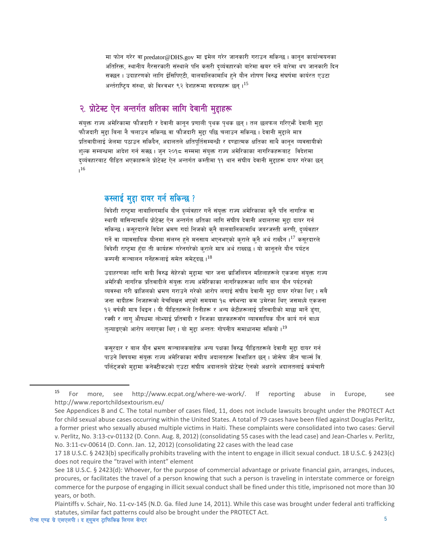मा फोन गरेर वा predator@DHS.gov मा इमेल गरेर जानकारी गराउन सकिन्छ । कानून कार्यान्वयनका अतिरिक्त, स्थानीय गैरसरकारी संस्थाले पनि कसरी दर्व्यवहारको बारेमा खबर गर्ने बारेमा थप जानकारी दिन सक्छन । उदाहरणको लागि ईसिपिएटी, बालबालिकामाथि हुने यौन शोषण विरुद्ध संघर्षमा कार्यरत एउटा अर्न्तराष्टिय संस्था. को विश्वभर ९२ देशहरूमा सदस्यहरू छन ।<sup>15</sup>

## २. प्रोटेक्ट ऐन अन्तर्गत क्षतिका लागि देवानी मुद्दाहरू

संयुक्त राज्य अमेरिकामा फौजदारी र देवानी कानून प्रणाली पृथक पृथक छन् । तल छलफल गरिएभैं देवानी मुद्दा फौजदारी मुद्दा बिना नै चलाउन सकिन्छ वा फौजदारी मुद्दा पछि चलाउन सकिन्छ । देवानी मुद्दाले मात्र प्रतिवादीलाई जेलमा पठाउन सकिदैन, अदालतले क्षतिपर्तिसम्बन्धी र दण्डात्मक क्षतिका साथै कानन व्यवसायीको शुल्क सम्बन्धमा आदेश गर्न सक्छ। जुन २०१८ सम्ममा संयुक्त राज्य अमेरिकाका नागरिकहरूबाट विदेशमा द्व्यंवहारबाट पीडित भएकाहरूले प्रोटेक्ट ऐन अन्तर्गत कम्तीमा ११ थान संघीय देवानी मुद्दाहरू दायर गरेका छन्  $16$ 

### कस्लाई मद्दा दायर गर्न सकिन्छ?

विदेशी राष्ट्रमा नाबालिगमाथि यौन दर्व्यवहार गर्ने संयुक्त राज्य अमेरिकाका कुनै पनि नागरिक वा स्थायी बासिन्दामाथि प्रोटेक्ट ऐन अन्तर्गत क्षतिका लागि संघीय देवानी अदालतमा मुद्दा दायर गर्न सकिन्छ । कसूरदारले विदेश भ्रमण गर्दा निजको कुनै बालबालिकामाथि जबरजस्ती करणी, दुर्व्यवहार गर्ने वा व्यावसायिक यौनमा संलग्न हुने मनसाय भएनभएको कराले कुनै अर्थ राख्दैन ।<sup>17</sup> कसुरदारले विदेशी राष्टमा हुँदा ती कार्यहरू गरेनगरेको कराले मात्र अर्थ राख्दछ । यो काननले यौन पर्यटन कम्पनी सञ्चालन गर्नेहरूलाई समेत समेट्दछ। $^{18}$ 

उदाहरणका लागि वादी विरुद्ध सेहेरको मुद्दामा चार जना ब्राजिलियन महिलाहरूले एकजना संयुक्त राज्य अमेरिकी नागरिक प्रतिवादीले संयुक्त राज्य अमेरिकाका नागरिकहरूका लागि बाल यौन पर्यटनको व्यवस्था गरी ब्राजिलको भ्रमण गराउने गरेको आरोप लगाई संघीय देवानी मुद्दा दायर गरेका थिए । सबै जना वादीहरू निजहरूको बेचबिखन भएको समयमा १८ वर्षभन्दा कम उमेरका थिए जसमध्ये एकजना १२ वर्षकी मात्र थिइन । यी पीडितहरूले तिनीहरू र अन्य केटीहरूलाई प्रतिवादीको माछा मार्ने डुंगा, रक्सी र लागु औषधमा लोभ्याई प्रतिवादी र निजका ग्राहकहरूसँग व्यावसायिक यौन कार्य गर्न वाध्य तल्याइएको आरोप लगाएका थिए । यो मद्दा अन्तत: गोपनीय समाधानमा सकियो ।<sup>19</sup>

कसरदार र बाल यौन भ्रमण सञ्चालकबाहेक अन्य पक्षका विरुद्ध पीडितहरूले देवानी महा दायर गर्न पाउने विषयमा संयुक्त राज्य अमेरिकाका संघीय अदालतहरू विभाजित छन् । जोसेफ जीन चार्ल्स वि. पर्लिटजको महामा कनेक्टीकटको एउटा संघीय अदालतले प्रोटेक्ट ऐनको अक्षरले अदालतलाई कर्मचारी

<span id="page-4-0"></span><sup>15</sup> For more. see http://www.ecpat.org/where-we-work/. If reporting Europe, abuse in See http://www.reportchildsextourism.eu/

<span id="page-4-1"></span>See Appendices B and C. The total number of cases filed, 11, does not include lawsuits brought under the PROTECT Act for child sexual abuse cases occurring within the United States. A total of 79 cases have been filed against Douglas Perlitz, a former priest who sexually abused multiple victims in Haiti. These complaints were consolidated into two cases: Gervil v. Perlitz, No. 3:13-cv-01132 (D. Conn. Aug. 8, 2012) (consolidating 55 cases with the lead case) and Jean-Charles v. Perlitz, No. 3:11-cv-00614 (D. Conn. Jan. 12, 2012) (consolidating 22 cases with the lead case

<span id="page-4-2"></span><sup>17 18</sup> U.S.C. § 2423(b) specifically prohibits traveling with the intent to engage in illicit sexual conduct. 18 U.S.C. § 2423(c) does not require the "travel with intent" element

<span id="page-4-3"></span>See 18 U.S.C. § 2423(d): Whoever, for the purpose of commercial advantage or private financial gain, arranges, induces, procures, or facilitates the travel of a person knowing that such a person is traveling in interstate commerce or foreign commerce for the purpose of engaging in illicit sexual conduct shall be fined under this title, imprisoned not more than 30 years, or both.

<span id="page-4-4"></span>Plaintiffs v. Schair, No. 11-cv-145 (N.D. Ga. filed June 14, 2011). While this case was brought under federal anti trafficking statutes, similar fact patterns could also be brought under the PROTECT Act.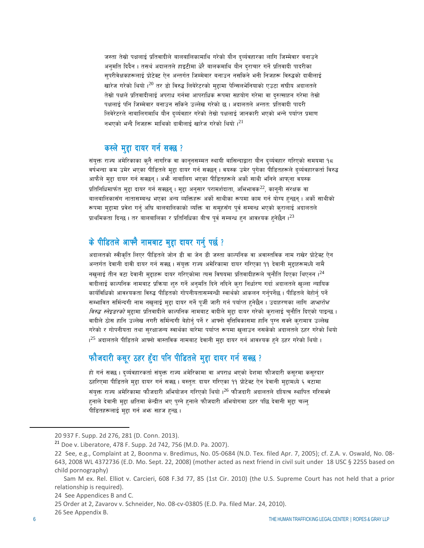जस्ता तेस्रो पक्षलाई प्रतिवादीले बालबालिकामाथि गरेको यौन द्व्यंवहारका लागि जिम्मेवार बनाउने अनुमति दिदैन । तसर्थ अदालतले हाइटीमा धेरै बालकमाथि यौन दराचार गर्ने प्रतिवादी पादरीका सुपरीवेक्षकहरूलाई प्रोटेक्ट ऐन अन्तर्गत जिम्मेवार बनाउन नसकिने भनी निजहरू विरुद्धको दावीलाई खारेज गरेको थियो । $^{20}$  $^{20}$  $^{20}$  तर डो विरुद्ध लिबेरेटरको महामा पेन्सिलभेनियाको एउटा संघीय अदालतले तेस्रो पक्षले प्रतिवादीलाई अपराध गर्नमा आपराधिक रूपमा सहयोग गरेमा वा दरुत्साहन गरेमा तेस्रो पक्षलाई पनि जिम्मेवार बनाउन सकिने उल्लेख गरेको छ । अदालतले अन्तत: प्रतिवादी पादरी लिवेरेटरले नाबालिगमाथि यौन दर्व्यवहार गरेको तेस्रो पक्षलाई जानकारी भएको भन्ने पर्याप्त प्रमाण नभएको भन्दै निजहरू माथिको दावीलाई खारेज गरेको थियो  $1^{21}$  $1^{21}$  $1^{21}$ 

#### कस्ले मुद्दा दायर गर्न सक्छ?

संयुक्त राज्य अमेरिकाका कुनै नागरिक वा कानुनसम्मत स्थायी बासिन्दाद्वारा यौन दर्व्यवहार गरिएको समयमा १८ वर्षभन्दा कम उमेर भएका पीडितले मुद्दा दायर गर्न सक्छन् । वयस्क उमेर पुगेका पीडितहरूले दर्व्यवहारकर्ता विरुद्ध आफैले मुद्दा दायर गर्न सक्छन् । अभै नाबालिग भएका पीडितहरूले अर्को साथी भनिने आफ्ना वयस्क प्रतिनिधिमार्फत मुद्दा दायर गर्न सक्छन् । मुद्दा अनुसार परामर्शदाता, अभिभावक $^{22}$  $^{22}$  $^{22}$ , कानुनी संरक्षक वा बालबालिकासँग नातासम्बन्ध भएका अन्य व्यक्तिहरू अर्को साथीका रूपमा काम गर्न योग्य हन्छन् । अर्को साथीको रूपमा मुद्दामा प्रवेश गर्न अघि बालबालिकाको व्यक्ति वा समुहसँग पुर्व सम्बन्ध भएको कुरालाई अदालतले प्राथमिकता दिन्छ । तर बालबालिका र प्रतिनिधिका बीच पुर्व सम्बन्ध हुन आवश्यक हुनेछैन । $^{23}$  $^{23}$  $^{23}$ 

## के पीडितले आफ्नै नामबाट मुद्दा दायर गर्नु पर्छ ?

अदालतको स्वीकृति लिएर पीडितले जोन डी वा जेन डी जस्ता काल्पनिक वा अवास्तविक नाम राखेर प्रोटेक्ट ऐन अन्तर्गत देवानी दावी दायर गर्न सक्छ । संयुक्त राज्य अमेरिकामा दायर गरिएका ११ देवानी मुद्दाहरूमध्ये नामै नखलाई तीन वटा देवानी महाहरू दायर गरिएकोमा त्यस विषयमा प्रतिवादीहरूले चुनौति दिएका थिएनन । $^{24}$  $^{24}$  $^{24}$ वादीलाई काल्पनिक नामबाट प्रक्रिया शुरु गर्ने अनुमति दिने नदिने कुरा निर्धारण गर्दा अदालतले खुल्ला न्यायिक कार्यविधिको आवश्यकता विरुद्ध पीडितको गोपनीयतासम्बन्धी स्वार्थको आकलन गर्नुपर्नेछ । पीडितले बेहोर्न् पर्ने सम्भावित सर्मिन्दगी नाम नखुलाई मुद्दा दायर गर्ने पूर्जी जारी गर्न पर्याप्त हुनेछैन । उदाहरणका लागि *जाभारोभ विरुद्ध स्नेइडरको* मुद्दामा प्रतिवादीले काल्पनिक नामबाट वादीले मुद्दा दायर गरेको कुरालाई चुनौति दिएको पाइन्छ । वादीले ठोस हानि उल्लेख नगरी सर्मिन्दगी बेहोर्नु पर्ने र आफ्नो वृत्तिविकासमा हानि पुग्न सक्ने क्रामात्र उल्लेख गरेको र गोपनीयता तथा सरक्षाजन्य स्वार्थका बारेमा पर्याप्त रूपमा खलाउन नसकेको अदालतले ठहर गरेको थियो . ।<sup>[25](#page-5-5)</sup> अदालतले पीडितले आफ्नो वास्तविक नामबाट देवानी मुद्दा दायर गर्न आवश्यक हुने ठहर गरेको थियो ।

### फौजदारी कसूर ठहर हुँदा पनि पीडितले मुद्दा दायर गर्न सक्छ ?

हो गर्न सक्छ । दर्व्यवहारकर्ता संयुक्त राज्य अमेरिकामा वा अपराध भएको देशमा फौजदारी कसूरमा कसूरदार ठहरिएमा पीडितले मुद्दा दायर गर्न सक्छ । बस्तुत: दायर गरिएका ११ प्रोटेक्ट ऐन देवानी मुद्दामध्ये ६ वटामा संयुक्त राज्य अमेरिकामा फौजदारी अभियोजन गरिएको थियो ।<sup>[26](#page-5-6)</sup> फौजदारी अदालतले दाीयत्व स्थापित गरिसक्ने हनाले देवानी मुद्दा क्षतिमा केन्द्रीत भए पग्ने हुनाले फौजदारी अभियोगमा ठहर पछि देवानी मुद्दा चल्नु पीडितहरूलाई मद्दा गर्न अफ्न सहज हुन्छ।

<span id="page-5-2"></span><span id="page-5-1"></span><span id="page-5-0"></span>**.** 

<sup>20</sup> 937 F. Supp. 2d 276, 281 (D. Conn. 2013).

<sup>21</sup> Doe v. Liberatore, 478 F. Supp. 2d 742, 756 (M.D. Pa. 2007).

<sup>22</sup> See, e.g., Complaint at 2, Boonma v. Bredimus, No. 05-0684 (N.D. Tex. filed Apr. 7, 2005); cf. Z.A. v. Oswald, No. 08- 643, 2008 WL 4372736 (E.D. Mo. Sept. 22, 2008) (mother acted as next friend in civil suit under 18 USC § 2255 based on child pornography)

<span id="page-5-3"></span>Sam M ex. Rel. Elliot v. Carcieri, 608 F.3d 77, 85 (1st Cir. 2010) (the U.S. Supreme Court has not held that a prior relationship is required).

<sup>24</sup> See Appendices B and C.

<sup>25</sup> Order at 2, Zavarov v. Schneider, No. 08-cv-03805 (E.D. Pa. filed Mar. 24, 2010).

<span id="page-5-6"></span><span id="page-5-5"></span><span id="page-5-4"></span><sup>26</sup> See Appendix B.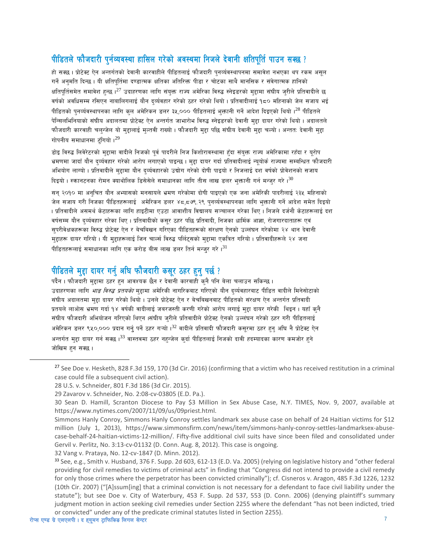### पीडितले फौजदारी पुर्नव्यवस्था हासिल गरेको अवस्थमा निजले देवानी क्षतिपुर्ति पाउन सक्छ ?

हो सक्छ । प्रोटेक्ट ऐन अन्तर्गतको देवानी कारवाहीले पीडितलाई फौजदारी पुनर्व्यवस्थापनमा समावेश नभएका थप रकम असुल गर्ने अनमति दिन्छ । यी क्षतिपर्तिमा दण्डात्मक क्षतिका अतिरिक्त पीडा र चोटका साथै मानसिक र संवेगात्मक हानिको क्षतिपर्तिसमेत समावेश हुन्छ ।<sup>27</sup> उदाहरणका लागि संयुक्त राज्य अमेरिका विरुद्ध स्नेइडरको मुद्दामा संघीय जुरीले प्रतिवादीले छ वर्षको अवधिसम्म रसिएन नाबालिगलाई यौन दर्व्यवहार गरेको ठहर गरेको थियो। प्रतिवादीलाई १८० महिनाको जेल सजाय भई पीडितको पुनर्व्यवस्थापनका लागि कुल अमेरिकन डलर ३५,००० पीडितलाई भुक्तानी गर्ने आदेश दिइएको थियो ।<sup>28</sup> पीडितले .<br>पेन्सिलभिनियाको संघीय अदालतमा प्रोटेक्ट ऐन अन्तर्गत जाभारोभ विरुद्ध स्नेइडरको देवानी महा दायर गरेको थियो । अदालतले फौजदारी कारवाही चलुन्जेल यो मुद्दालाई मुल्तवी राख्यो । फौजदारी मुद्दा पछि संघीय देवानी मुद्दा चल्यो । अन्तत: देवानी मुद्दा गोपनीय समाधानमा टंगियो ।<sup>29</sup>

डोइ विरुद्ध लिवेरेटरको मुद्दामा वादीले निजको पूर्व पादरीले निज किशोरावस्थामा हुँदा संयुक्त राज्य अमेरिकामा रहँदा र युरोप भ्रमणमा जादाँ यौन दर्व्यवहार गरेको आरोप लगाएको पाइन्छ । मद्दा दायर गर्दा प्रतिवादीलाई न्ययोर्क राज्यमा सम्बन्धित फौजदारी अभियोग लाग्यो । प्रतिवादीले महामा यौन दर्व्यवहारको उद्योग गरेको दोषी पाइयो र निजलाई दश वर्षको प्रोवेशनको सजाय दिइयो । स्क्रानटनका रोमन क्याथोलिक डिसेसेले समाधानका लागि तीस लाख डलर भक्तानी गर्न मन्जर गरे । $^{30}$ 

सन् २०१० मा अनुचित यौन अभ्यासको मनसायले भ्रमण गरेकोमा दोषी पाइएको एक जना अमेरिकी पादरीलाई २३५ महिनाको जेल सजाय गरी निजका पीडितहरूलाई अमेरिकन डलर ४८,८७९.२९ पुनर्व्यवस्थापनका लागि भुक्तानी गर्ने आदेश समेत दिइयो । प्रतिवादीले असमर्थ केटाहरूका लागि हाइटीमा एउटा आवाशीय विद्यालय सञ्चालन गरेका थिए । निजले दर्जनौ केटाहरूलाई दश वर्षसम्म यौन दर्व्यवहार गरेका थिए । प्रतिवादीको कसर ठहर पछि प्रतिवादी, निजका धार्मिक आज्ञा, रोजगारदाताहरू एवं सपरीवेक्षकहरूका विरुद्ध प्रोटेक्ट ऐन र बेचबिखन गरिएका पीडितहरूको संरक्षण ऐनको उल्लंघन गरेकोमा २४ थान देवानी मुहाहरू दायर गरियो । यी मुहाहरूलाई जिन चार्ल्स विरुद्ध पर्लिट्सको मुहामा एकत्रित गरियो । प्रतिवादीहरूले २४ जना पीडितहरूलाई समाधानका लागि एक करोड़ बीस लाख डलर तिर्न मन्जर गरे। $^{31}$ 

## पीडितले महा दायर गर्न अघि फौजदारी कसुर ठहर हुन पर्छ ?

पर्दैन । फौजदारी मुद्दामा ठहर हुन आवश्यक छैन र देवानी कारवाही कुनै पनि बेला चलाउन सकिन्छ । उदाहरणका लागि *भाङ विरुद्ध प्रतयको* महामा अमेरिकी नागरिकबाट गरिएको यौन दर्व्यवहारबाट पीडित वादीले मिनेसोटाको संघीय अदालतमा मद्दा दायर गरेको थियो । उनले प्रोटेक्ट ऐन र बेचबिखनबाट पीडितको संरक्षण ऐन अन्तर्गत प्रतिवादी प्रतयले लाओस भ्रमण गर्दा १४ वर्षकी वादीलाई जबरजस्ती करणी गरेको आरोप लगाई मुद्दा दायर गरेकी थिइन । यहाँ कुनै संघीय फौजदारी अभियोजन गरिएको थिएन ।संघीय जुरीले प्रतिवादीले प्रोटेक्ट ऐनको उल्लंघन गरेको ठहर गरी पीडितलाई अमेरिकन डलर ९५०,००० प्रदान गर्नु पर्ने ठहर गऱ्यो ।<sup>32</sup> वादीले प्रतिवादी फौजदारी कसुरमा ठहर हन अघि नै प्रोटेक्ट ऐन अन्तर्गत मुद्दा दायर गर्न सक्छ ।<sup>33</sup> वास्तवमा ठहर नहन्जेल क्**दा पीडितलाई निजको दावी हदम्यादका कारण कम**जोर हने जोखिम हन सक्छ।

<span id="page-6-5"></span>32 Vang v. Prataya, No. 12-cv-1847 (D. Minn. 2012).

<span id="page-6-0"></span><sup>&</sup>lt;sup>27</sup> See Doe v. Hesketh, 828 F.3d 159, 170 (3d Cir. 2016) (confirming that a victim who has received restitution in a criminal case could file a subsequent civil action).

<span id="page-6-1"></span><sup>28</sup> U.S. v. Schneider, 801 F.3d 186 (3d Cir. 2015).

<span id="page-6-2"></span><sup>29</sup> Zavarov v. Schneider, No. 2:08-cv-03805 (E.D. Pa.).

<span id="page-6-3"></span><sup>30</sup> Sean D. Hamill, Scranton Diocese to Pay \$3 Million in Sex Abuse Case, N.Y. TIMES, Nov. 9, 2007, available at https://www.nytimes.com/2007/11/09/us/09priest.html.

<span id="page-6-4"></span>Simmons Hanly Conroy, Simmons Hanly Conroy settles landmark sex abuse case on behalf of 24 Haitian victims for \$12 million (July 1, 2013), https://www.simmonsfirm.com/news/item/simmons-hanly-conroy-settles-landmarksex-abusecase-behalf-24-haitian-victims-12-million/. Fifty-five additional civil suits have since been filed and consolidated under Gervil v. Perlitz, No. 3:13-cv-01132 (D. Conn. Aug. 8, 2012). This case is ongoing.

<span id="page-6-6"></span><sup>33</sup> See, e.g., Smith v. Husband, 376 F. Supp. 2d 603, 612-13 (E.D. Va. 2005) (relying on legislative history and "other federal providing for civil remedies to victims of criminal acts" in finding that "Congress did not intend to provide a civil remedy for only those crimes where the perpetrator has been convicted criminally"); cf. Cisneros v. Aragon, 485 F.3d 1226, 1232 (10th Cir. 2007) ("[A]ssum[ing] that a criminal conviction is not necessary for a defendant to face civil liability under the statute"); but see Doe v. City of Waterbury, 453 F. Supp. 2d 537, 553 (D. Conn. 2006) (denying plaintiff's summary judgment motion in action seeking civil remedies under Section 2255 where the defendant "has not been indicted, tried or convicted" under any of the predicate criminal statutes listed in Section 2255).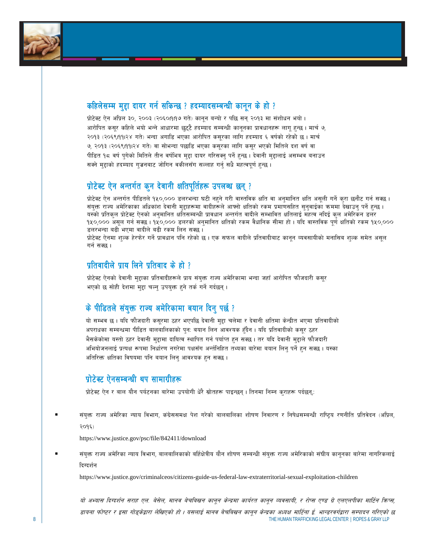

### कहिलेसम्म मुद्दा दायर गर्न सकिन्छ ? हदम्यादसम्बन्धी कानून के हो ?

प्रोटेक्ट ऐन अप्रिल ३०, २००३ (२०६०१११७ गते) कानून बन्यो र पछि सन् २०१३ मा संशोधन भयो। आरोपित कसूर कहिले भयो भन्ने आधारमा छुट्टै हदम्याद सम्बन्धी कानूनका प्रावधानहरू लागू हुन्छ। मार्च ७, २०१३ (२०६९।११।२४ गते) भन्दा अगाडि भएका आरोपित कसूरका लागि हदम्याद ६ वर्षको रहेको छ। मार्च ७, २०१३ (२०६९।११।२४ गते) वा सोभन्दा पछाडि भएका कसुरका लागि कसुर भएको मितिले दश वर्ष वा पीडित १८ वर्ष पुगेको मितिले तीन वर्षभित्र मुद्दा दायर गरिसक्नु पर्ने हुन्छ । देवानी मुद्दालाई असम्भव बनाउन सक्ने महाको हदम्याद गज्रनबाट जोगिन वकीलसँग सल्लाह गर्न सधै महत्वपर्ण हन्छ ।

#### प्रोटेक्ट ऐन अन्तर्गत कन देवानी क्षतिपुर्तिहरू उपलब्ध छन् ?

प्रोटेक्ट ऐन अन्तर्गत पीडितले १५०,००० डलरभन्दा घटी नहने गरी वास्तविक क्षति वा अनुमानित क्षति असली गर्ने करा छनौट गर्न सक्छ। संयक्त राज्य अमेरिकाका अधिकांश देवानी मद्दाहरूमा वादीहरूले आफ्नो क्षतिको रकम प्रमाणसहित सनवाईका क्रममा देखाउन पर्ने हन्छ । यस्को प्रतिकुल प्रोटेक्ट ऐनको अनुमानित क्षतिसम्बन्धी प्रावधान अन्तर्गत वादीले सम्भावित क्षतिलाई महत्व नदिई कुल अमेरिकन डलर १५०,००० असूल गर्न सक्छ। १५०,००० डलरको अनुमानित क्षतिको रकम वैधानिक सीमा हो। यदि वास्तविक पूर्ण क्षतिको रकम १५०,००० डलरभन्दा बढी भएमा वादीले बढी रकम लिन सक्छ।

प्रोटेक्ट ऐनमा शल्क हेरफेर गर्ने प्रावधान पनि रहेको छ। एक सफल वादीले प्रतिवादीबाट कानन व्यवसायीको मनासिब शल्क समेत असल गर्न सक्छ ।

### पतिवादीले पाय लिने पतिवाद के हो  $\ell$

<u>प्रोटेक्ट ऐनको देवानी मुद्दाका प्रतिवादीहरूले प्राय संयुक्त राज्य अमेरिकामा भन्दा जहाँ आरोपित फौजदारी कसुर</u> भएको छ सोही देशमा मद्दा चल्न उपयक्त हने तर्क गर्ने गर्दछन।

### $\vec{a}$  पीडितले संयुक्त राज्य अमेरिकामा बयान दिन पर्छ ?

यो सम्भव छ। यदि फौजदारी कसूरमा ठहर भएपछि देवानी मुद्दा चलेमा र देवानी क्षतिमा केन्द्रीत भएमा प्रतिवादीको अपराधका सम्बन्धमा पीडित बालबालिकाको पुन: बयान लिन आवश्यक हँदैन । यदि प्रतिवादीको कसुर ठहर भैसकेकोमा यस्तो ठहर देवानी मुद्दामा दायित्व स्थापित गर्न पर्याप्त हुन सक्छ। तर यदि देवानी मुद्दाले फौजदारी अभियोजनलाई प्रत्यक्ष रूपमा निर्धारण नगरेमा पक्षसँग अर्न्तनिहित तथ्यका बारेमा बयान लिन पर्ने हन सक्छ । यस्का अतिरिक्त क्षतिका विषयमा पनि बयान लिन् आवश्यक हुन सक्छ।

### प्रोटेक्ट ऐनसम्बन्धी थप सामाग्रीहरू

प्रोटेक्ट ऐन र बाल यौन पर्यटनका बारेमा उपयोगी धेरै स्रोतहरू पाइन्छन्। तिनमा निम्न क्राहरू पर्दछनु.:

संयक्त राज्य अमेरिका न्याय विभाग, कंग्रेससमक्ष पेश गरेको बालबालिका शोषण निवारण र निषेधसम्बन्धी राष्टिय रणनीति प्रतिवेदन (अप्रिल,  $209$ 

https://www.justice.gov/psc/file/842411/download

संयक्त राज्य अमेरिका न्याय विभाग, बालबालिकाको बर्हिक्षेत्रीय यौन शोषण सम्बन्धी संयक्त राज्य अमेरिकाको संघीय कानुनका बारेमा नागरिकलाई दिग्दर्शन

https://www.justice.gov/criminalceos/citizens-guide-us-federal-law-extraterritorial-sexual-exploitation-children

8 THE HUMAN TRAFFICKING LEGAL CENTER I ROPES & GRAY LLP (STATED AND THE HUMAN TRAFFICKING LEGAL CENTER I ROPES & GRAY LLP यो अभ्यास दिग्दर्शन सराह एल. बेसेल, मानव बेचबिखन कानून केन्द्रमा कार्यरत कानून व्यवसायी, र रोप्स एण्ड ग्रे एलएलपीका मार्टिन किप्स, डायना फोप्टर र इसा गोड्केद्वारा लेखिएको हो । यसलाई मानव बेचबिखन कानून केन्द्रका अध्यक्ष मार्टिना ई. भान्डरवर्गद्वारा सम्पादन गरिएको छ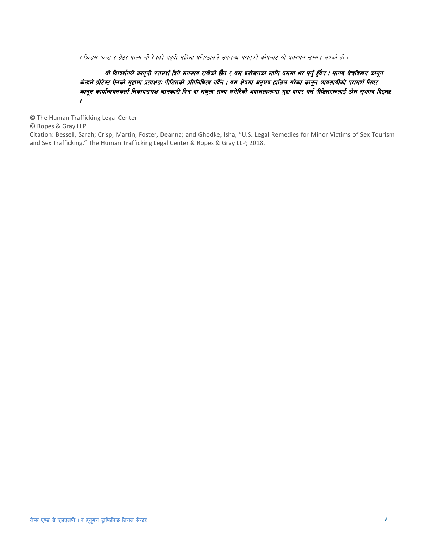। फ्रिडम फन्ड र ग्रेटर पाल्म बीचेचको यहुदी महिला प्रतिष्ठानले उपलब्ध गराएको कोषबाट यो प्रकाशन सम्भव भएको हो ।

#### यो दिग्दर्शनले कानूनी परामर्श दिने मनसाय राखेको छैन र यस प्रयोजनका लागि यसमा भर पर्नु हुँदैन । मानव बेचबिखन कानून .<br>केन्द्रले प्रोटेक्ट ऐनको मुद्दामा प्रत्यक्षत: पीडितको प्रतिनिधित्व गर्दैन । यस क्षेत्रमा अनुभव हासिल गरेका कानून व्यवसायीको परामर्श लिएर कानून कार्यान्वयनकर्ता निकायसमक्ष जानकारी दिन वा संयुक्त राज्य अमेरिकी अदालतहरूमा मुद्दा दायर गर्न पीडितहरूलाई ठोस सुभाव दिइन्छ .

© The Human Trafficking Legal Center

© Ropes & Gray LLP

Citation: Bessell, Sarah; Crisp, Martin; Foster, Deanna; and Ghodke, Isha, "U.S. Legal Remedies for Minor Victims of Sex Tourism and Sex Trafficking," The Human Trafficking Legal Center & Ropes & Gray LLP; 2018.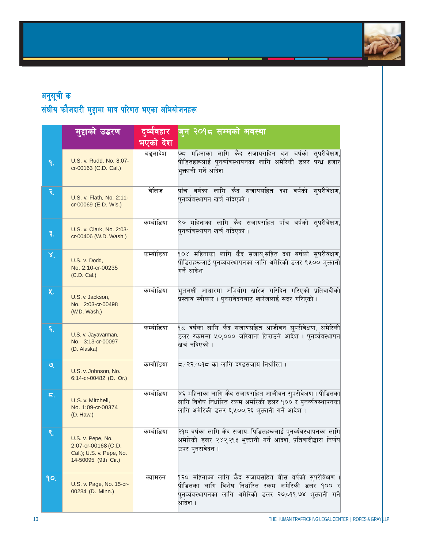

|                 | मुद्दाको उद्धरण                                                                             | दुव्येवहार | जुन २०१८ सम्मको अवस्था                                                                                                                                                                                   |  |
|-----------------|---------------------------------------------------------------------------------------------|------------|----------------------------------------------------------------------------------------------------------------------------------------------------------------------------------------------------------|--|
|                 |                                                                                             | भएको देश   |                                                                                                                                                                                                          |  |
| ۹.              | U.S. v. Rudd, No. 8:07-<br>cr-00163 (C.D. Cal.)                                             | बङ्लादेश   | ७८ महिनाका लागि कैद सजायसहित दश बर्षको सुपरीवेक्षण,<br>पीडितहरूलाई प्नर्व्यवस्थापनका लागि अमेरिकी डलर पन्ध्र हजार<br>भक्तानी गर्ने आदेश                                                                  |  |
| २.              | U.S. v. Flath, No. 2:11-<br>cr-00069 (E.D. Wis.)                                            | बेलिज      | <u>पाँच वर्षका लागि कैद सजाय</u> सहित दश वर्षको सुपरीवेक्षण,<br>पुनर्व्यवस्थापन खर्च नदिएको ।                                                                                                            |  |
| ३.              | U.S. v. Clark, No. 2:03-<br>cr-00406 (W.D. Wash.)                                           | कम्बोडिया  | ९७ महिनाका लागि कैद सजायसहित पाँच बर्षको सुपरीवेक्षण,<br>पुनर्व्यवस्थापन खर्च नदिएको ।                                                                                                                   |  |
| $\mathbf{x}^*$  | U.S. v. Dodd,<br>No. 2:10-cr-00235<br>(C.D. Cal.)                                           | कम्बोडिया  | १०४ महिनाका लागि कैद सजाय,सहित दश बर्षको सुपरीवेक्षण,<br>पीडितहरूलाई पुनर्व्यवस्थापनका लागि अमेरिकी डलर ९५०० भुक्तानी<br>गर्ने आदेश                                                                      |  |
| 义.              | U.S. v. Jackson,<br>No. 2:03-cr-00498<br>(W.D. Wash.)                                       | कम्बोडिया  | भूतलक्षी आधारमा अभियोग खारेज गरिदिन गरिएको प्रतिवादीको<br>प्रस्ताव स्वीकार । पुनरावेदनबाट खारेजलाई सदर गरिएको ।                                                                                          |  |
| ٤.              | U.S. v. Jayavarman,<br>No. 3:13-cr-00097<br>(D. Alaska)                                     | कम्बोडिया  | <b>१८ वर्षका लागि कैद सजायसहित आजीवन सुपरी</b> वेक्षण, अमेरिकी<br>डलर रकममा ५०,००० जरिवाना तिराउने आदेश । पुनर्व्यवस्थापन<br>खर्च नदिएको ।                                                               |  |
| $\mathcal{Q}_1$ | U.S. v. Johnson, No.<br>6:14-cr-00482 (D. Or.)                                              | कम्बोडिया  | ८ ∕ २२ ∕ ०१८ का लागि दण्डसजाय निर्धारित ।                                                                                                                                                                |  |
| ς.              | U.S. v. Mitchell,<br>No. 1:09-cr-00374<br>(D. Haw.)                                         | कम्बोडिया  | ४६ महिनाका लागि कैद सजायसहित आजीवन सुपरीवेक्षण । पीडितका<br>लागि विशेष निर्धारित रकम अमेरिकी डलर १०० र पुनर्व्यवस्थापनका<br>लागि अमेरिकी डलर ६,५००.२६ भुक्तानी गर्ने आदेश ।                              |  |
| ९.              | U.S. v. Pepe, No.<br>2:07-cr-00168 (C.D.<br>Cal.); U.S. v. Pepe, No.<br>14-50095 (9th Cir.) | कम्बोडिया  | २१० वर्षका लागि कैद सजाय, पिडितहरूलाई पुनर्व्यवस्थापनका लागि<br>अमेरिकी डलर २४२,२१३ भुक्तानी गर्ने आदेश, प्रतिवादीद्धारा निर्णय<br>उपर प्नरावेदन ।                                                       |  |
| 90.             | U.S. v. Page, No. 15-cr-<br>00284 (D. Minn.)                                                | क्यामरुन   | <mark>१२० महिनाका लागि कैद सजायसहित बीस वर्षको स्</mark> परीवेक्षण ।<br>पीडितका लागि विशेष निर्धारित रकम अमेरिकी डलर १०० र<br>.<br>पुनर्व्यवस्थापनका लागि अमेरिकी डलर २७,०११.७४ भुक्तानी गर्ने<br>आदेश । |  |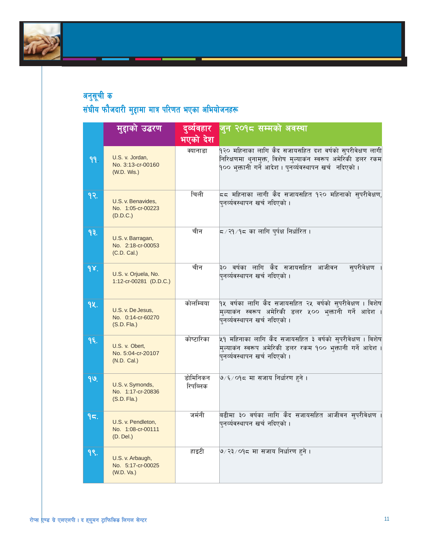

|        | मुहाको उद्धरण                                           | दुर्व्यवहार          | जुन २०१८ सम्मको अवस्था                                                                                                                                                             |  |
|--------|---------------------------------------------------------|----------------------|------------------------------------------------------------------------------------------------------------------------------------------------------------------------------------|--|
|        |                                                         | भएको देश             |                                                                                                                                                                                    |  |
| 99.    | U.S. v. Jordan,<br>No. 3:13-cr-00160<br>(W.D. Wis.)     | क्यानाडा             | १२० महिनाका लागि कैद सजायसहित दश वर्षको सुपरीवेक्षण लागी<br>निरिक्षणमा थुनामुक्त, विशेष मुल्याकन स्वरूप अमेरिकी डलर रकम<br>१०० भुक्तानी गर्ने आदेश । पुनर्व्यवस्थापन खर्च नदिएको । |  |
| 9२.    | U.S. v. Benavides,<br>No. 1:05-cr-00223<br>(D.D.C.)     | चिली                 | ८८ महिनाका लागी कैद सजायसहित १२० महिनाको सुपरीवेक्षण,<br>पुनर्व्यवस्थापन खर्च नदिएको ।                                                                                             |  |
| 93.    | U.S. v. Barragan,<br>No. 2:18-cr-00053<br>(C.D. Cal.)   | चीन                  | <mark>८ ⁄ २१ ⁄ १८ का लागि प्</mark> र्पक्ष निर्धारित ।                                                                                                                             |  |
| 98.    | U.S. v. Orjuela, No.<br>1:12-cr-00281 (D.D.C.)          | चीन                  | ३० वर्षका लागि कैद सजायसहित आजीवन<br>सुपरीवेक्षण<br>पुनर्व्यवस्थापन खर्च नदिएको ।                                                                                                  |  |
| 9k.    | U.S. v. De Jesus,<br>No. 0:14-cr-60270<br>$(S.D. Fla.)$ | कोलम्बिया            | १५ वर्षका लागि कैद सजायसहित २५ वर्षको सुपरीवेक्षण । विशेष<br>.<br>मुल्याकन स्वरूप अमेरिकी डलर ५०० भक्तानी गर्ने आदेश ।<br>.<br>पुनर्व्यवस्थापन खर्च नदिएको ।                       |  |
| $9$ ६. | U.S. v. Obert,<br>No. 5:04-cr-20107<br>(N.D. Cal.)      | कोष्टारिका           | ५१ महिनाका लागि कैद सजायसहित ३ वर्षको सुपरीवेक्षण । विशेष<br>.<br>मुल्याकन स्वरूप अमेरिकी डलर रकम <b>१</b> ०० भुक्तानी गर्ने आदेश ।<br>पुनर्व्यवस्थापन खर्च नदिएको ।               |  |
| 99.    | U.S. v. Symonds,<br>No. 1:17-cr-20836<br>$(S.D. Fla.)$  | डोमिनिकन<br>रिपब्लिक | ७/६/०१८ मा सजाय निर्धारण हने ।                                                                                                                                                     |  |
| 95.    | U.S. v. Pendleton,<br>No. 1:08-cr-00111<br>(D. Del.)    | जर्मनी               | बढीमा ३० वर्षका लागि कैद सजायसहित आजीवन सुपरीवेक्षण ।<br>पुनर्व्यवस्थापन खर्च नदिएको ।                                                                                             |  |
| 99.    | U.S. v. Arbaugh,<br>No. 5:17-cr-00025<br>(W.D. Va.)     | हाइटी                | ७ ⁄ २३ ⁄ ०१८ मा सजाय निर्धारण हने ।                                                                                                                                                |  |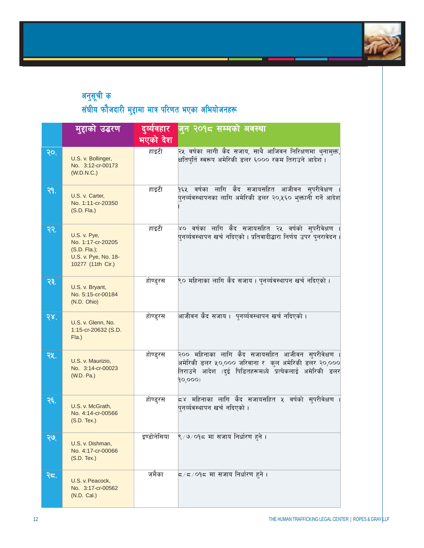

|            | मुद्दाको उद्धरण                                                                          | दुव्येवहार  | जुन २०१८ सम्मको अवस्था                                                                                                                                                        |
|------------|------------------------------------------------------------------------------------------|-------------|-------------------------------------------------------------------------------------------------------------------------------------------------------------------------------|
|            |                                                                                          | भएको देश    |                                                                                                                                                                               |
| २०.        | U.S. v. Bollinger,<br>No. 3:12-cr-00173<br>(W.D.N.C.)                                    | हाइटी       | २५ वर्षका लागी कैद सजाय, साथै आजिवन निरिक्षणमा थ्नाम्क्त,<br>क्षतिपुर्ति स्वरूप अमेरिकी डलर ६००० रकम तिराउने आदेश ।                                                           |
| २१.        | U.S. v. Carter,<br>No. 1:11-cr-20350<br>(S.D. Fla.)                                      | हाइटी       | <mark>१६५ वर्षका लागि कैद सजायस</mark> हित आजीवन सुपरीवेक्षण<br>पुनर्व्यवस्थापनका लागि अमेरिकी डलर २०,५६० भुक्तानी गर्ने आदेश                                                 |
| २२.        | U.S. v. Pye,<br>No. 1:17-cr-20205<br>$(S.D. Fla.);U.S. v. Pye, No. 18-10277 (11th Cir.)$ | हाइटी       | ४० वर्षका लागि कैद सजायसहित २५ वर्षको सुपरीवेक्षण<br>पुनर्व्यवस्थापन खर्च नदिएको । प्रतिवादीद्धारा निर्णय उपर पुनरावेदन ।                                                     |
| २३.        | U.S. v. Bryant,<br>No. 5:15-cr-00184<br>(N.D. Ohio)                                      | होण्ड्रस    | ९० महिनाका लागि कैद सजाय । पुनर्व्यवस्थापन खर्च नदिएको ।                                                                                                                      |
| २४.        | U.S. v. Glenn, No.<br>1:15-cr-20632 (S.D.<br>F(a.)                                       | होण्ड्रस    | आजीवन कैद सजाय ।  पुनर्व्यवस्थापन खर्च नदिएको ।                                                                                                                               |
| २५.        | U.S. v. Maurizio,<br>No. 3:14-cr-00023<br>(W.D. Pa.)                                     | होण्ड्रस    | २०० महिनाका लागि कैद सजायसहित आजीवन सुपरीवेक्षण ।<br>अमेरिकी डलर ५०,००० जरिवाना र कुल अमेरिकी डलर २०,०००<br>तिराउने आदेश (दुई पिडितहरूमध्ये प्रत्येकलाई अमेरिकी डलर<br>90,000 |
| २६.        | U.S. v. McGrath,<br>No. 4:14-cr-00566<br>$(S.D.$ Tex.)                                   | होण्ड्रस    | $\overline{\phantom{a}}$ ६४ महिनाका लागि कैद सजायसहित ५ वर्षको सुपरीवेक्षण<br>पनर्व्यवस्थापन खर्च नदिएको ।                                                                    |
| ২७.        | U.S. v. Dishman,<br>No. 4:17-cr-00066<br>$(S.D.$ Tex.)                                   | इण्डोनेसिया | ९ ⁄ ७ ⁄ ०१८ मा सजाय निर्धारण हने ।                                                                                                                                            |
| <u>२द.</u> | U.S. v. Peacock,<br>No. 3:17-cr-00562<br>(N.D. Cal.)                                     | जमैका       | द ∕ द ⁄ ੦੧< मा सजाय निर्धारण हने ।                                                                                                                                            |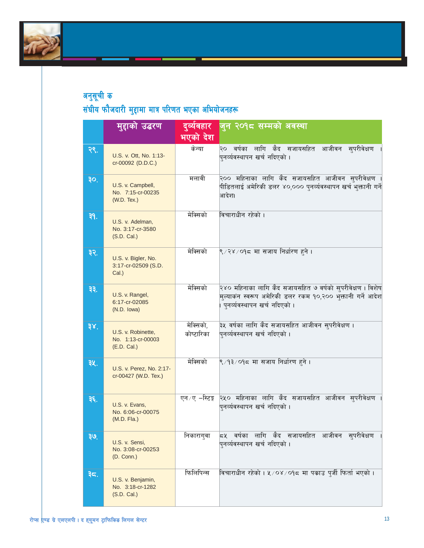

|     | मुद्दाको उद्धरण                                        | दुव्यवहार               | जुन २०१८ सम्मको अवस्था                                                                                                                                     |  |  |
|-----|--------------------------------------------------------|-------------------------|------------------------------------------------------------------------------------------------------------------------------------------------------------|--|--|
|     |                                                        | भएको देश                |                                                                                                                                                            |  |  |
| २९. | U.S. v. Ott, No. 1:13-<br>cr-00092 (D.D.C.)            | केन्या                  | २० वर्षका लागि कैद सजायसहित आजीवन सुपरीवेक्षण<br>पुनर्व्यवस्थापन खर्च नदिएको ।                                                                             |  |  |
| 30. | U.S. v. Campbell,<br>No. 7:15-cr-00235<br>(W.D. Tex.)  | मलावी                   | २०० महिनाका लागि कैद सजायसहित आजीवन सुपरीवेक्षण<br>पीडितलाई अमेरिकी डलर ४०,००० पुनर्व्यवस्थापन खर्च भुक्तानी गर्ने<br>आदेश।                                |  |  |
| ३१. | U.S. v. Adelman,<br>No. 3:17-cr-3580<br>(S.D. Cal.)    | मेक्सिको                | विचाराधीन रहेको ।                                                                                                                                          |  |  |
| ३२. | U.S. v. Bigler, No.<br>3:17-cr-02509 (S.D.<br>Cal.)    | मेक्सिको                | ९/२४/०१८ मा सजाय निर्धारण हने ।                                                                                                                            |  |  |
| ३३. | U.S. v. Rangel,<br>6:17-cr-02085<br>(N.D. lowa)        | मेक्सिको                | २४० महिनाका लागि कैद सजायसहित ७ वर्षको सुपरीवेक्षण । विशेष<br>मुल्याकंन स्वरूप अमेरिकी डलर रकम १०,२०० भुक्तानी गर्ने आदेश<br>पुनर्व्यवस्थापन खर्च नदिएको । |  |  |
| ३४. | U.S. v. Robinette,<br>No. 1:13-cr-00003<br>(E.D. Cal.) | मेक्सिको,<br>कोष्टारिका | ३५ वर्षका लागि कैद सजायसहित आजीवन सुपरीवेक्षण ।<br>पुनर्व्यवस्थापन खर्च नदिएको ।                                                                           |  |  |
| ३५. | U.S. v. Perez, No. 2:17-<br>cr-00427 (W.D. Tex.)       | मेक्सिको                | ९ ⁄ १३ ⁄ ०१८ मा सजाय निर्धारण हने ।                                                                                                                        |  |  |
| ३६. | U.S. v. Evans,<br>No. 6:06-cr-00075<br>$(M.D. Fla.)$   |                         | एन ⁄ए –स्टिङ्ग २५० महिनाका लागि कैद सजायसहित आजीवन सुपरीवेक्षण<br>पनर्व्यवस्थापन खर्च नदिएको ।                                                             |  |  |
| ३७. | U.S. v. Sensi,<br>No. 3:08-cr-00253<br>(D. Conn.)      | निकाराग्वा              | ८५ वर्षका लागि कैद सजायसहित आजीवन सुपरीवेक्षण<br>पनर्व्यवस्थापन खर्च नदिएको ।                                                                              |  |  |
| ३८. | U.S. v. Benjamin,<br>No. 3:18-cr-1282<br>(S.D. Cal.)   | फिलिपिन्स               | विचाराधीन रहेको । ५ ⁄ ०४ ⁄ ०१८ मा पकाउ पुर्जी फिर्ता भएको ।                                                                                                |  |  |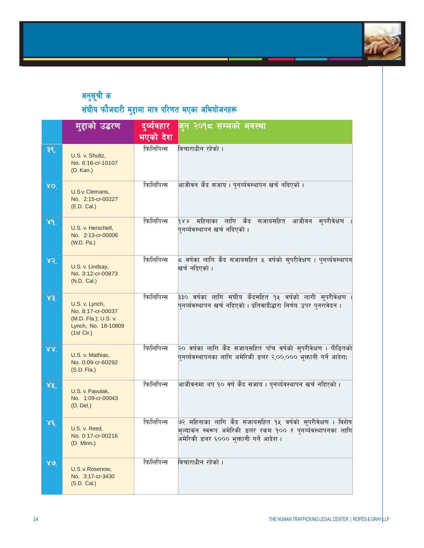

|                 | मुद्दाको उद्धरण                                                                                  | दुव्येवहार | जुन २०१८ सम्मको अवस्था                                                                                                                                                |  |
|-----------------|--------------------------------------------------------------------------------------------------|------------|-----------------------------------------------------------------------------------------------------------------------------------------------------------------------|--|
|                 |                                                                                                  | भएको देश   |                                                                                                                                                                       |  |
| ३९.             | U.S. v. Shultz,<br>No. 6:16-cr-10107<br>(D. Kan.)                                                | फिलिपिन्स  | विचाराधीन रहेको ।                                                                                                                                                     |  |
| 80 <sub>1</sub> | U.S v. Clemans,<br>No. 2:15-cr-00227<br>(E.D. Cal.)                                              | फिलिपिन्स  | आजीवन कैद सजाय । पुनर्व्यवस्थापन खर्च नदिएको ।                                                                                                                        |  |
| 89.             | U.S. v. Herschell,<br>No. 2:13-cr-00006<br>(W.D. Pa.)                                            | फिलिपिन्स  | १४४ महिनाका लागि कैद सजायसहित आजीवन सुपरीवेक्षण<br>पुनर्व्यवस्थापन खर्च नदिएको ।                                                                                      |  |
| ४२.             | U.S. v. Lindsay,<br>No. 3:12-cr-00873<br>(N.D. Cal.)                                             | फिलिपिन्स  | ८ वर्षका लागि कैद सजायसहित ५ वर्षको सुपरीवेक्षण । पुनर्व्यवस्थापन<br>खर्च नदिएको ।                                                                                    |  |
| x3              | U.S. v. Lynch,<br>No. 8:17-cr-00037<br>(M.D. Fla.); U.S. v.<br>Lynch, No. 18-10809<br>(1st Cir.) | फिलिपिन्स  | ३३० वर्षका लागि संघीय कैदसहित १५ वर्षको लागी सुपरीवेक्षण<br>पुनर्व्यवस्थापन खर्च नदिएको । प्रतिवादीद्धारा निर्णय उपर पुनरावेदन ।                                      |  |
| 88 <sup>7</sup> | U.S. v. Mathias,<br>No. 0:09-cr-60292<br>$(S.D. \text{Fla.})$                                    | फिलिपिन्स  | २० वर्षका लागि कैद सजायसहित पाँच वर्षको सुपरीवेक्षण । पीडितको<br>पुनर्व्यवस्थापनका लागि अमेरिकी डलर २,००,००० भुक्तानी गर्ने आदेश।                                     |  |
| XX.             | U.S. v. Pavulak,<br>No. 1:09-cr-00043<br>(D. Del.)                                               | फिलिपिन्स  | आजीवनमा थप १० वर्ष कैद सजाय । पुनर्व्यवस्थापन खर्च नदिएको ।                                                                                                           |  |
| $x \epsilon$ .  | U.S. v. Reed,<br>No. 0:17-cr-00216<br>(D. Minn.)                                                 | फिलिपिन्स  | ७२ महिनाका लागि कैद सजायसहित १५ वर्षको सुपरीवेक्षण । विशेष<br>मुल्याकंन स्वरूप अमेरिकी डलर रकम १०० र पुनर्व्यवस्थापनका लागि<br>अमेरिकी डलर ६००० भुक्तानी गर्ने आदेश । |  |
| $80^\circ$      | U.S. v. Rosenow,<br>No. 3:17-cr-3430<br>(S.D. Cal.)                                              | फिलिपिन्स  | विचाराधीन रहेको ।                                                                                                                                                     |  |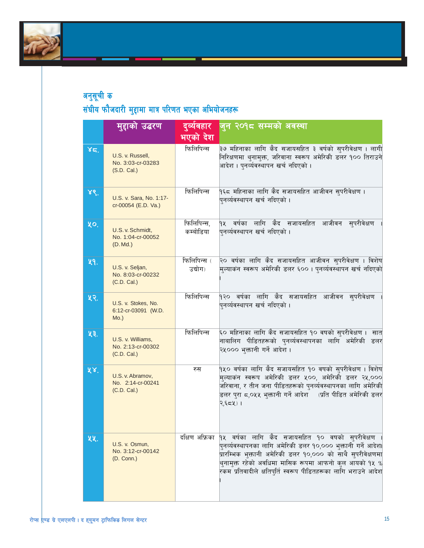

|     | मुद्दाको उद्धरण                                       | दुर्व्यवहार             | जुन २०१८ सम्मको अवस्था                                                                                                                                                                                                                                                                                              |  |
|-----|-------------------------------------------------------|-------------------------|---------------------------------------------------------------------------------------------------------------------------------------------------------------------------------------------------------------------------------------------------------------------------------------------------------------------|--|
|     |                                                       | भएको देश                |                                                                                                                                                                                                                                                                                                                     |  |
| 85. | U.S. v. Russell,<br>No. 3:03-cr-03283<br>(S.D. Cal.)  | फिलिपिन्स               | ३७ महिनाका लागि कैद सजायसहित ३ वर्षको सुपरीवेक्षण । लागी<br>निरिक्षणमा थुनामुक्त, जरिवाना स्वरूप अमेरिकी डलर १०० तिराउने<br>आदेश । पुनर्व्यवस्थापन खर्च नदिएको ।                                                                                                                                                    |  |
| ४९. | U.S. v. Sara, No. 1:17-<br>cr-00054 (E.D. Va.)        | फिलिपिन्स               | १६८ महिनाका लागि कैद सजायसहित आजीवन सुपरीवेक्षण ।<br>पुनर्व्यवस्थापन खर्च नदिएको ।                                                                                                                                                                                                                                  |  |
| ५o. | U.S. v. Schmidt,<br>No. 1:04-cr-00052<br>(D. Md.)     | फिलिपिन्स,<br>कम्बोडिया | १५ वर्षका लागि कैद सजायसहित आजीवन सुपरीवेक्षण<br>पुनर्व्यवस्थापन खर्च नदिएको ।                                                                                                                                                                                                                                      |  |
| ५१. | U.S. v. Seljan,<br>No. 8:03-cr-00232<br>(C.D. Cal.)   | फिलिपिन्स (<br>उद्योग)  | २० वर्षका लागि कैद सजायसहित आजीवन सुपरीवेक्षण । विशेष<br>मुल्याकंन स्वरूप अमेरिकी डलर ६००। पुनर्व्यवस्थापन खर्च नदिएको                                                                                                                                                                                              |  |
| ५२. | U.S. v. Stokes, No.<br>6:12-cr-03091 (W.D.<br>$Mo.$ ) | फिलिपिन्स               | १२० वर्षका लागि कैद सजायसहित आजीवन सुपरीवेक्षण<br>पुनर्व्यवस्थापन खर्च नदिएको ।                                                                                                                                                                                                                                     |  |
| ५३. | U.S. v. Williams,<br>No. 2:13-cr-00302<br>(C.D. Cal.) | फिलिपिन्स               | ६० महिनाका लागि कैद सजायसहित १० वषको सुपरीवेक्षण ।  सात<br>नाबालिग पीडितहरूको प्नर्व्यवस्थापनका लागि अमेरिकी डलर<br>२५००० भुक्तानी गर्ने आदेश ।                                                                                                                                                                     |  |
| 58. | U.S. v. Abramov,<br>No. 2:14-cr-00241<br>(C.D. Cal.)  | रुस                     | १५० वर्षका लागि कैद सजायसहित १० वषको सुपरीवेक्षण । विशेष<br>मुल्याकन स्वरूप अमेरिकी डलर ५००, अमेरिकी डलर २५,०००<br>जरिवाना, र तीन जना पीडितहरूको पुनर्व्यवस्थापनका लागि अमेरिकी<br>डलर प्रा ८,०५५ भुक्तानी गर्ने आदेश    (प्रति पीडित अमेरिकी डलर<br>२,६८५) ।                                                       |  |
| ५५. | U.S. v. Osmun,<br>No. 3:12-cr-00142<br>(D. Conn.)     | दक्षिण अफ्रिका          | १५ वर्षका लागि कैद सजायसहित १० वषको सुपरीवेक्षण ।<br>पुनर्व्यवस्थापनका लागि अमेरिकी डलर १०,००० भुक्तानी गर्ने आदेश।<br>प्रारम्भिक भुक्तानी अमेरिकी डलर १०,००० को साथै सुपरीवेक्षणमा<br>थुनामुक्त रहेको अवधिमा मासिक रूपमा आफनो कुल आयको १५ %<br>.<br>रकम प्रतिवादीले क्षतिपुर्ति स्वरूप पीडितहरूका लागि भराउने आदेश |  |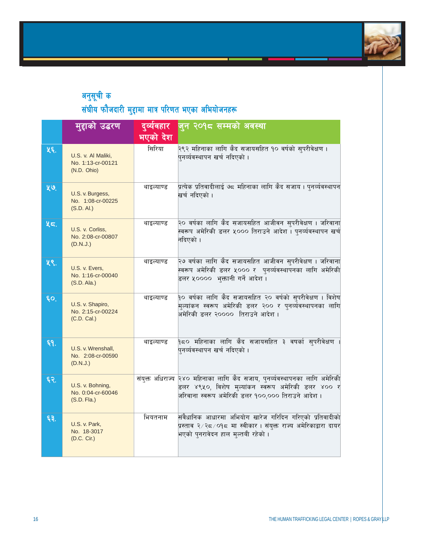

|     | मुद्दाको उद्धरण                                        | दुर्व्यवहार<br>भएको देश | जुन २०१८ सम्मको अवस्था                                                                                                                                                                     |
|-----|--------------------------------------------------------|-------------------------|--------------------------------------------------------------------------------------------------------------------------------------------------------------------------------------------|
| ५६. | U.S. v. Al Maliki,<br>No. 1:13-cr-00121<br>(N.D. Ohio) | सिरिया                  | २९२ महिनाका लागि कैद सजायसहित १० वर्षको सुपरीवेक्षण ।<br>पुनर्व्यवस्थापन खर्च नदिएको ।                                                                                                     |
| ५७. | U.S. v. Burgess,<br>No. 1:08-cr-00225<br>(S.D. Al.)    | थाइल्याण्ड              | प्रत्येक प्रतिवादीलाई ७८ महिनाका लागि कैद सजाय । पुनर्व्यवस्थापन<br>खर्च नदिएको ।                                                                                                          |
| ५८. | U.S. v. Corliss,<br>No. 2:08-cr-00807<br>(D.N.J.)      | थाइल्याण्ड              | २० वर्षका लागि कैद सजायसहित आजीवन सुपरीवेक्षण । जरिवाना<br>.<br>स्वरूप अमेरिकी डलर ५००० तिराउने आदेश । पुनर्व्यवस्थापन खर्च<br>नदिएको ।                                                    |
| ५९. | U.S. v. Evers,<br>No. 1:16-cr-00040<br>(S.D. Ala.)     | थाइल्याण्ड              | २७ वर्षका लागि कैद सजायसहित आजीवन सुपरीवेक्षण । जरिवाना<br>स्वरूप अमेरिकी डलर ५००० र पुनर्व्यवस्थापनका लागि अमेरिकी<br>डलर ५००००  भक्तानी गर्ने आदेश ।                                     |
| ६о, | U.S. v. Shapiro,<br>No. 2:15-cr-00224<br>(C.D. Cal.)   | थाइल्याण्ड              | १० वर्षका लागि कैद सजायसहित २० वर्षको सुपरीवेक्षण । विशेष<br>मुल्यांकन स्वरूप अमेरिकी डलर २०० र पुनर्व्यॅवस्थापनका लागि<br>अमेरिकी डलर २००००  तिराउने आदेश ।                               |
| Ę٩. | U.S. v. Wrenshall,<br>No. 2:08-cr-00590<br>(D.N.J.)    | थाइल्याण्ड              | <mark>१८० महिनाका लागि कैद सजायस</mark> हित ३ वषर्का सुपरीवेक्षण ।<br>पुनर्व्यवस्थापन खर्च नदिएको ।                                                                                        |
| ६२. | U.S. v. Bohning,<br>No. 0:04-cr-60046<br>(S.D. Fla.)   |                         | संयुक्त अधिराज्य २४० महिनाका लागि कैद सजाय, पुनर्व्यवस्थापनका लागि अमेरिकी<br>.<br>डलर ४९५०, विशेष मुल्यांकन स्वरूप अमेरिकी डलर ४०० र<br>जरिवाना स्वरूप अमेरिकी डलर १००,००० तिराउने आदेश । |
| ६३. | U.S. v. Park,<br>No. 18-3017<br>(D.C. Cir.)            | भियतनाम                 | संवैधानिक आधारमा अभियोग खारेज गरिदिन गरिएको प्रतिवादीको<br>प्रस्ताव २∕२८∕०१८ मा स्वीकार । संयुक्त राज्य अमेरिकाद्वारा दायर<br>भएको प्नरावेदन हाल मुल्तबी रहेको ।                           |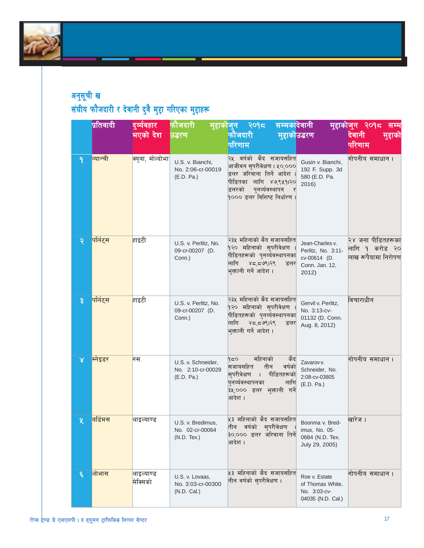

## अनुसूची ख संघीय फौजदारी र देवानी दुवै मुद्दा गरिएका मुद्दाहरू

|   | <mark>प्रतिवादी</mark> | दुर्व्यवहार                  | फौजदारी                                               | सम्मकादेवानी<br><u>मुद्दाकोजून २०१८</u>                                                                                                                              |                                                                                  | <u>मुद्दाकोजुन २०१८</u><br>सम्म                            |
|---|------------------------|------------------------------|-------------------------------------------------------|----------------------------------------------------------------------------------------------------------------------------------------------------------------------|----------------------------------------------------------------------------------|------------------------------------------------------------|
|   |                        | भएको देश                     | उद्धरण                                                | फौजदारी<br>मुद्दाकोउद्धरण                                                                                                                                            |                                                                                  | देवानी<br>मुद्दाका                                         |
|   |                        |                              |                                                       | परिणाम                                                                                                                                                               |                                                                                  | परिणाम                                                     |
| ٩ | व्यान्ची               | <mark>क्यबा, मोल्दोभा</mark> | U.S. v. Bianchi,<br>No. 2:06-cr-00019<br>(E.D. Pa.)   | २५ वर्षको कैद सजायसहित<br>आजीवन सुपरीवेक्षण । ५०,०००<br>डलर जरिवाना तिर्ने आदेश<br>पीडितका लागि ४७,९५१।२०<br>डलरको<br>पुनर्व्यवस्थापन<br>१००० डलर विशिष्ट निर्धारण । | Gusin v. Bianchi,<br>192 F. Supp. 3d<br>580 (E.D. Pa.<br>2016)                   | गोपनीय समाधान ।                                            |
| २ | पर्लिट्स               | <mark>हाइटी</mark>           | U.S. v. Perlitz, No.<br>09-cr-00207 (D.<br>Conn.)     | २३५ महिनाको कैद सजायसहित<br>१२० महिनाको सुपरीवेक्षण<br>पीडितहरूको पुनर्व्यवस्थापनका<br>लागि<br>४८,८७९।२९<br>डलर<br>भुक्तानी गर्ने आदेश ।                             | Jean-Charles v.<br>Perlitz, No. 3:11-<br>cv-00614 (D.<br>Conn. Jan. 12,<br>2012) | २४ जना पीडितहरूका<br>लागि १ करोड २०<br>लाख रूपैयामा निरोपण |
| ३ | पर्लिट्स               | हाइटी                        | U.S. v. Perlitz, No.<br>09-cr-00207 (D.<br>Conn.)     | २३५ महिनाको कैद सजायसहित<br>१२० महिनाको सुपरीवेक्षण<br>पीडितहरूको प्नर्व्यवस्थापनका<br>लागि<br>४८,८७९।२९<br>डलर<br>भुक्तानी गर्ने आदेश ।                             | Gervil v. Perlitz,<br>No. 3:13-cv-<br>01132 (D. Conn.<br>Aug. 8, 2012)           | विचाराधीन                                                  |
| x | स्नेइडर                | रुस                          | U.S. v. Schneider,<br>No. 2:10-cr-00029<br>(E.D. Pa.) | महिनाको<br>१८०<br>केंद<br>सजायसहित<br>तीन<br>वर्षको<br>सुपरीवेक्षण<br>पीडितहरूको<br>$\Box$<br>पुनर्व्यवस्थापनका<br>लागि<br>३५,००० डलर भुक्तानी गर्ने<br>आदेश ।       | Zavarov v.<br>Schneider, No.<br>2:08-cv-03805<br>(E.D. Pa.)                      | गोपनीय समाधान ।                                            |
| 义 | बर्डिमस                | <mark>थाइल्याण्ड</mark>      | U.S. v. Bredimus,<br>No. 02-cr-00064<br>(N.D. Tex.)   | ५३ महिनाको कैद सजायसहित<br>सुपरीवेक्षण<br>वर्षको<br>तीन<br>३०,००० डलर जरिवाना तिर्ने<br>आदेश ।                                                                       | Boonma v. Bred-<br>imus, No. 05-<br>0684 (N.D. Tex.<br>July 29, 2005)            | खारेज ।                                                    |
| ६ | लोभास                  | थाइल्याण्ड<br>मेक्सिको       | U.S. v. Lovaas,<br>No. 3:03-cr-00300<br>(N.D. Cal.)   | ५३ महिनाको कैद सजायसहित<br>तीन वर्षको सुपरीवेक्षण ।                                                                                                                  | Roe v. Estate<br>of Thomas White,<br>No. 3:03-cv-<br>04035 (N.D. Cal.)           | गोपनीय समाधान।                                             |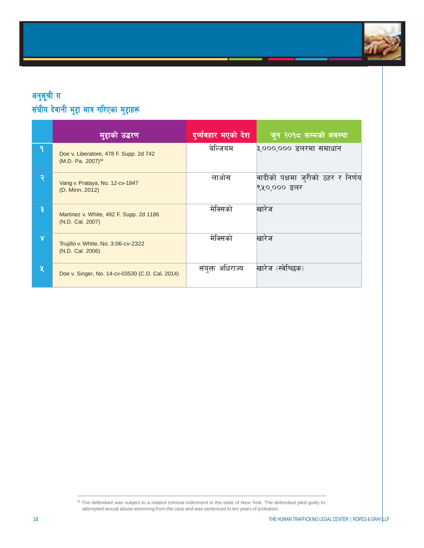

## अनुसूची ग $\,$ संघीय देवानी मुद्दा मात्र गरिएका मुद्दाहरू

|              | मुद्दाको उद् <u>धर</u> ण                                                | दुर्व्यवहार भएको देश | जुन २०१८ सम्मको अवस्था                           |
|--------------|-------------------------------------------------------------------------|----------------------|--------------------------------------------------|
| ٩            | Doe v. Liberatore, 478 F. Supp. 2d 742<br>(M.D. Pa. 2007) <sup>38</sup> | बेल्जियम             | ३,०००,००० डलरमा समाधान                           |
| २            | Vang v. Prataya, No. 12-cv-1847<br>(D. Minn. 2012)                      | लाओस                 | वादीको पक्षमा जुरीको ठहर र निर्णय<br>९५०,००० डलर |
| ३            | Martinez v. White, 492 F. Supp. 2d 1186<br>(N.D. Cal. 2007)             | मेक्सिको             | खारेज                                            |
| $\mathsf{X}$ | Trujillo v. White, No. 3:06-cv-2322<br>(N.D. Cal. 2006)                 | मेक्सिको             | खारेज                                            |
| 义            | Doe v. Singer, No. 14-cv-03530 (C.D. Cal. 2014)                         | संयुक्त अधिराज्य     | खारेज (स्वेच्छिक)                                |

<sup>38</sup> The defendant was subject to a related criminal indictment in the state of New York. The defendant pled guilty to attempted sexual abuse stemming from the case and was sentenced to ten years of probation.